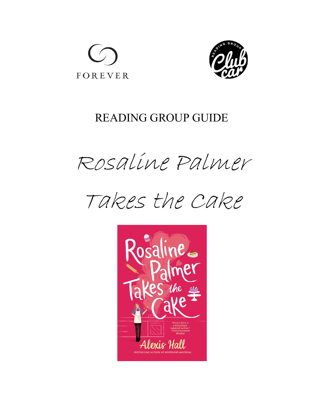



## READING GROUP GUIDE

Rosaline Palmer



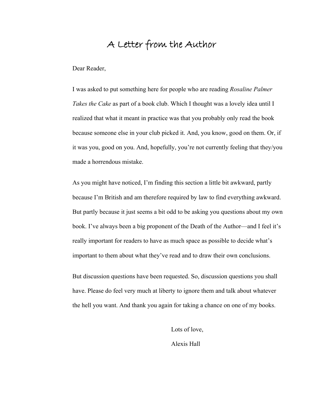## A Letter from the Author

Dear Reader,

I was asked to put something here for people who are reading *Rosaline Palmer Takes the Cake* as part of a book club. Which I thought was a lovely idea until I realized that what it meant in practice was that you probably only read the book because someone else in your club picked it. And, you know, good on them. Or, if it was you, good on you. And, hopefully, you're not currently feeling that they/you made a horrendous mistake.

As you might have noticed, I'm finding this section a little bit awkward, partly because I'm British and am therefore required by law to find everything awkward. But partly because it just seems a bit odd to be asking you questions about my own book. I've always been a big proponent of the Death of the Author—and I feel it's really important for readers to have as much space as possible to decide what's important to them about what they've read and to draw their own conclusions.

But discussion questions have been requested. So, discussion questions you shall have. Please do feel very much at liberty to ignore them and talk about whatever the hell you want. And thank you again for taking a chance on one of my books.

> Lots of love, Alexis Hall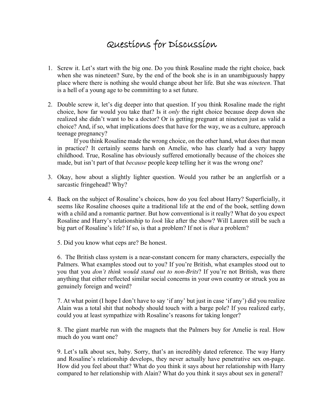## Questions for Discussion

- 1. Screw it. Let's start with the big one. Do you think Rosaline made the right choice, back when she was nineteen? Sure, by the end of the book she is in an unambiguously happy place where there is nothing she would change about her life. But she was *nineteen*. That is a hell of a young age to be committing to a set future.
- 2. Double screw it, let's dig deeper into that question. If you think Rosaline made the right choice, how far would you take that? Is it *only* the right choice because deep down she realized she didn't want to be a doctor? Or is getting pregnant at nineteen just as valid a choice? And, if so, what implications does that have for the way, we as a culture, approach teenage pregnancy?

If you think Rosaline made the wrong choice, on the other hand, what does that mean in practice? It certainly seems harsh on Amelie, who has clearly had a very happy childhood. True, Rosaline has obviously suffered emotionally because of the choices she made, but isn't part of that *because* people keep telling her it was the wrong one?

- 3. Okay, how about a slightly lighter question. Would you rather be an anglerfish or a sarcastic fringehead? Why?
- 4. Back on the subject of Rosaline's choices, how do you feel about Harry? Superficially, it seems like Rosaline chooses quite a traditional life at the end of the book, settling down with a child and a romantic partner. But how conventional is it really? What do you expect Rosaline and Harry's relationship to *look* like after the show? Will Lauren still be such a big part of Rosaline's life? If so, is that a problem? If not is *that* a problem?

5. Did you know what ceps are? Be honest.

6. The British class system is a near-constant concern for many characters, especially the Palmers. What examples stood out to you? If you're British, what examples stood out to you that you *don't think would stand out to non-Brits*? If you're not British, was there anything that either reflected similar social concerns in your own country or struck you as genuinely foreign and weird?

7. At what point (I hope I don't have to say 'if any' but just in case 'if any') did you realize Alain was a total shit that nobody should touch with a barge pole? If you realized early, could you at least sympathize with Rosaline's reasons for taking longer?

8. The giant marble run with the magnets that the Palmers buy for Amelie is real. How much do you want one?

9. Let's talk about sex, baby. Sorry, that's an incredibly dated reference. The way Harry and Rosaline's relationship develops, they never actually have penetrative sex on-page. How did you feel about that? What do you think it says about her relationship with Harry compared to her relationship with Alain? What do you think it says about sex in general?